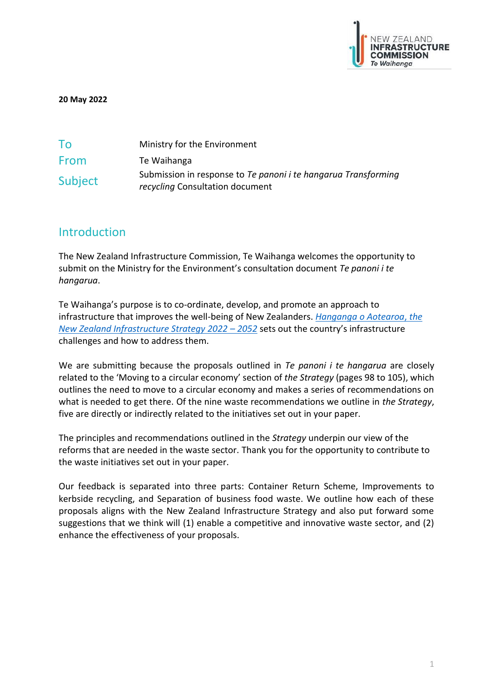

**20 May 2022**

| To      | Ministry for the Environment                                                                             |
|---------|----------------------------------------------------------------------------------------------------------|
| From    | Te Waihanga                                                                                              |
| Subject | Submission in response to Te panoni <i>i</i> te hangarua Transforming<br>recycling Consultation document |

# **Introduction**

The New Zealand Infrastructure Commission, Te Waihanga welcomes the opportunity to submit on the Ministry for the Environment's consultation document *Te panoni i te hangarua*.

Te Waihanga's purpose is to co-ordinate, develop, and promote an approach to infrastructure that improves the well-being of New Zealanders. *[Hanganga o Aotearoa](https://strategy.tewaihanga.govt.nz/strategy)*, *the [New Zealand Infrastructure Strategy 2022](https://strategy.tewaihanga.govt.nz/strategy) – 2052* sets out the country's infrastructure challenges and how to address them.

We are submitting because the proposals outlined in *Te panoni i te hangarua* are closely related to the 'Moving to a circular economy' section of *the Strategy* (pages 98 to 105), which outlines the need to move to a circular economy and makes a series of recommendations on what is needed to get there. Of the nine waste recommendations we outline in *the Strategy*, five are directly or indirectly related to the initiatives set out in your paper.

The principles and recommendations outlined in the *Strategy* underpin our view of the reforms that are needed in the waste sector. Thank you for the opportunity to contribute to the waste initiatives set out in your paper.

Our feedback is separated into three parts: Container Return Scheme, Improvements to kerbside recycling, and Separation of business food waste. We outline how each of these proposals aligns with the New Zealand Infrastructure Strategy and also put forward some suggestions that we think will (1) enable a competitive and innovative waste sector, and (2) enhance the effectiveness of your proposals.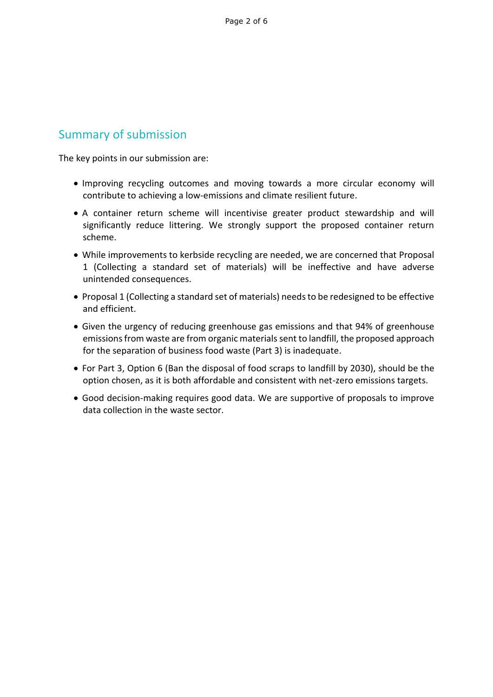# Summary of submission

The key points in our submission are:

- Improving recycling outcomes and moving towards a more circular economy will contribute to achieving a low-emissions and climate resilient future.
- A container return scheme will incentivise greater product stewardship and will significantly reduce littering. We strongly support the proposed container return scheme.
- While improvements to kerbside recycling are needed, we are concerned that Proposal 1 (Collecting a standard set of materials) will be ineffective and have adverse unintended consequences.
- Proposal 1 (Collecting a standard set of materials) needs to be redesigned to be effective and efficient.
- Given the urgency of reducing greenhouse gas emissions and that 94% of greenhouse emissions from waste are from organic materials sent to landfill, the proposed approach for the separation of business food waste (Part 3) is inadequate.
- For Part 3, Option 6 (Ban the disposal of food scraps to landfill by 2030), should be the option chosen, as it is both affordable and consistent with net-zero emissions targets.
- Good decision-making requires good data. We are supportive of proposals to improve data collection in the waste sector.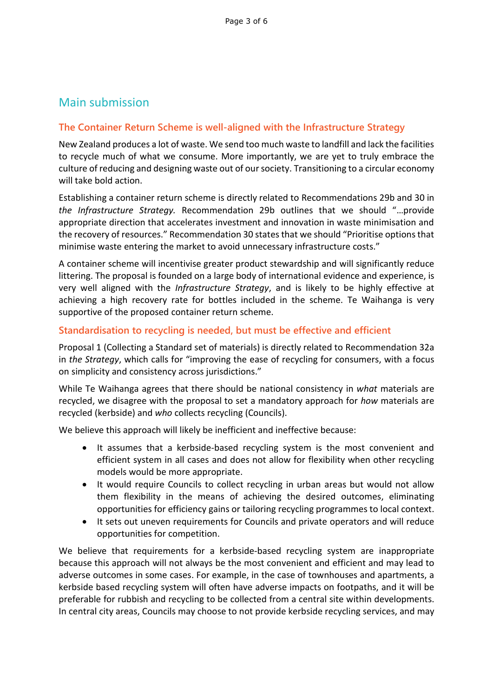# Main submission

## **The Container Return Scheme is well-aligned with the Infrastructure Strategy**

New Zealand produces a lot of waste. We send too much waste to landfill and lack the facilities to recycle much of what we consume. More importantly, we are yet to truly embrace the culture of reducing and designing waste out of our society. Transitioning to a circular economy will take bold action.

Establishing a container return scheme is directly related to Recommendations 29b and 30 in *the Infrastructure Strategy.* Recommendation 29b outlines that we should "…provide appropriate direction that accelerates investment and innovation in waste minimisation and the recovery of resources." Recommendation 30 states that we should "Prioritise options that minimise waste entering the market to avoid unnecessary infrastructure costs."

A container scheme will incentivise greater product stewardship and will significantly reduce littering. The proposal is founded on a large body of international evidence and experience, is very well aligned with the *Infrastructure Strategy*, and is likely to be highly effective at achieving a high recovery rate for bottles included in the scheme. Te Waihanga is very supportive of the proposed container return scheme.

### **Standardisation to recycling is needed, but must be effective and efficient**

Proposal 1 (Collecting a Standard set of materials) is directly related to Recommendation 32a in *the Strategy*, which calls for "improving the ease of recycling for consumers, with a focus on simplicity and consistency across jurisdictions."

While Te Waihanga agrees that there should be national consistency in *what* materials are recycled, we disagree with the proposal to set a mandatory approach for *how* materials are recycled (kerbside) and *who* collects recycling (Councils).

We believe this approach will likely be inefficient and ineffective because:

- It assumes that a kerbside-based recycling system is the most convenient and efficient system in all cases and does not allow for flexibility when other recycling models would be more appropriate.
- It would require Councils to collect recycling in urban areas but would not allow them flexibility in the means of achieving the desired outcomes, eliminating opportunities for efficiency gains or tailoring recycling programmes to local context.
- It sets out uneven requirements for Councils and private operators and will reduce opportunities for competition.

We believe that requirements for a kerbside-based recycling system are inappropriate because this approach will not always be the most convenient and efficient and may lead to adverse outcomes in some cases. For example, in the case of townhouses and apartments, a kerbside based recycling system will often have adverse impacts on footpaths, and it will be preferable for rubbish and recycling to be collected from a central site within developments. In central city areas, Councils may choose to not provide kerbside recycling services, and may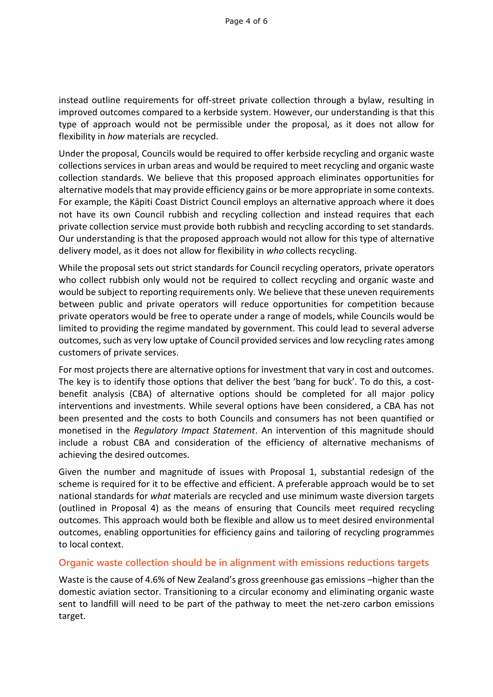instead outline requirements for off-street private collection through a bylaw, resulting in improved outcomes compared to a kerbside system. However, our understanding is that this type of approach would not be permissible under the proposal, as it does not allow for flexibility in *how* materials are recycled.

Under the proposal, Councils would be required to offer kerbside recycling and organic waste collections services in urban areas and would be required to meet recycling and organic waste collection standards. We believe that this proposed approach eliminates opportunities for alternative models that may provide efficiency gains or be more appropriate in some contexts. For example, the Kāpiti Coast District Council employs an alternative approach where it does not have its own Council rubbish and recycling collection and instead requires that each private collection service must provide both rubbish and recycling according to set standards. Our understanding is that the proposed approach would not allow for this type of alternative delivery model, as it does not allow for flexibility in *who* collects recycling.

While the proposal sets out strict standards for Council recycling operators, private operators who collect rubbish only would not be required to collect recycling and organic waste and would be subject to reporting requirements only. We believe that these uneven requirements between public and private operators will reduce opportunities for competition because private operators would be free to operate under a range of models, while Councils would be limited to providing the regime mandated by government. This could lead to several adverse outcomes, such as very low uptake of Council provided services and low recycling rates among customers of private services.

For most projects there are alternative options for investment that vary in cost and outcomes. The key is to identify those options that deliver the best 'bang for buck'. To do this, a costbenefit analysis (CBA) of alternative options should be completed for all major policy interventions and investments. While several options have been considered, a CBA has not been presented and the costs to both Councils and consumers has not been quantified or monetised in the *Regulatory Impact Statement*. An intervention of this magnitude should include a robust CBA and consideration of the efficiency of alternative mechanisms of achieving the desired outcomes.

Given the number and magnitude of issues with Proposal 1, substantial redesign of the scheme is required for it to be effective and efficient. A preferable approach would be to set national standards for *what* materials are recycled and use minimum waste diversion targets (outlined in Proposal 4) as the means of ensuring that Councils meet required recycling outcomes. This approach would both be flexible and allow us to meet desired environmental outcomes, enabling opportunities for efficiency gains and tailoring of recycling programmes to local context.

### **Organic waste collection should be in alignment with emissions reductions targets**

Waste is the cause of 4.6% of New Zealand's gross greenhouse gas emissions –higher than the domestic aviation sector. Transitioning to a circular economy and eliminating organic waste sent to landfill will need to be part of the pathway to meet the net-zero carbon emissions target.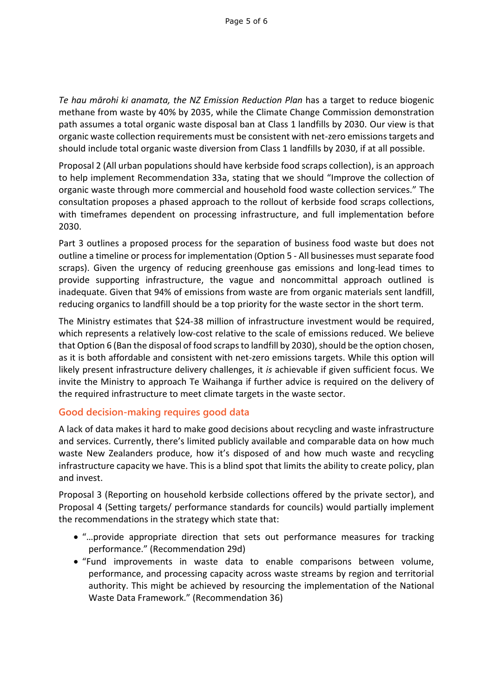*Te hau mārohi ki anamata, the NZ Emission Reduction Plan* has a target to reduce biogenic methane from waste by 40% by 2035, while the Climate Change Commission demonstration path assumes a total organic waste disposal ban at Class 1 landfills by 2030. Our view is that organic waste collection requirements must be consistent with net-zero emissions targets and should include total organic waste diversion from Class 1 landfills by 2030, if at all possible.

Proposal 2 (All urban populations should have kerbside food scraps collection), is an approach to help implement Recommendation 33a, stating that we should "Improve the collection of organic waste through more commercial and household food waste collection services." The consultation proposes a phased approach to the rollout of kerbside food scraps collections, with timeframes dependent on processing infrastructure, and full implementation before 2030.

Part 3 outlines a proposed process for the separation of business food waste but does not outline a timeline or process for implementation (Option 5 - All businesses must separate food scraps). Given the urgency of reducing greenhouse gas emissions and long-lead times to provide supporting infrastructure, the vague and noncommittal approach outlined is inadequate. Given that 94% of emissions from waste are from organic materials sent landfill, reducing organics to landfill should be a top priority for the waste sector in the short term.

The Ministry estimates that \$24-38 million of infrastructure investment would be required, which represents a relatively low-cost relative to the scale of emissions reduced. We believe that Option 6 (Ban the disposal of food scraps to landfill by 2030), should be the option chosen, as it is both affordable and consistent with net-zero emissions targets. While this option will likely present infrastructure delivery challenges, it *is* achievable if given sufficient focus. We invite the Ministry to approach Te Waihanga if further advice is required on the delivery of the required infrastructure to meet climate targets in the waste sector.

### **Good decision-making requires good data**

A lack of data makes it hard to make good decisions about recycling and waste infrastructure and services. Currently, there's limited publicly available and comparable data on how much waste New Zealanders produce, how it's disposed of and how much waste and recycling infrastructure capacity we have. This is a blind spot that limits the ability to create policy, plan and invest.

Proposal 3 (Reporting on household kerbside collections offered by the private sector), and Proposal 4 (Setting targets/ performance standards for councils) would partially implement the recommendations in the strategy which state that:

- "…provide appropriate direction that sets out performance measures for tracking performance." (Recommendation 29d)
- "Fund improvements in waste data to enable comparisons between volume, performance, and processing capacity across waste streams by region and territorial authority. This might be achieved by resourcing the implementation of the National Waste Data Framework." (Recommendation 36)